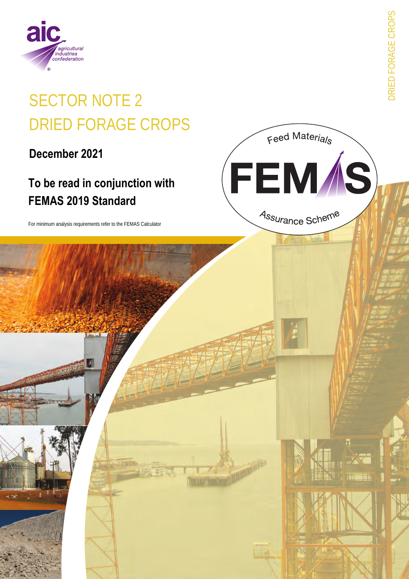

# **SECTOR NOTE 2 DRIED FORAGE CROPS**

December 2021

# To be read in conjunction with **FEMAS 2019 Standard**

For minimum analysis requirements refer to the FEMAS Calculator

**DRIED FORAGE CROPS** 

Feed Materials

FEM*Í*S)

Assurance Scheme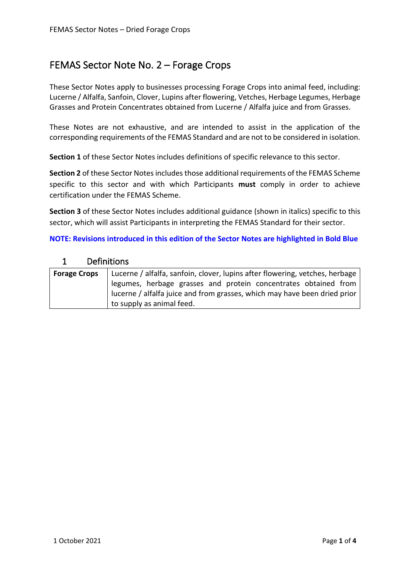## FEMAS Sector Note No. 2 – Forage Crops

These Sector Notes apply to businesses processing Forage Crops into animal feed, including: Lucerne / Alfalfa, Sanfoin, Clover, Lupins after flowering, Vetches, Herbage Legumes, Herbage Grasses and Protein Concentrates obtained from Lucerne / Alfalfa juice and from Grasses.

These Notes are not exhaustive, and are intended to assist in the application of the corresponding requirements of the FEMAS Standard and are not to be considered in isolation.

**Section 1** of these Sector Notes includes definitions of specific relevance to this sector.

**Section 2** of these Sector Notes includes those additional requirements of the FEMAS Scheme specific to this sector and with which Participants **must** comply in order to achieve certification under the FEMAS Scheme.

**Section 3** of these Sector Notes includes additional guidance (shown in italics) specific to this sector, which will assist Participants in interpreting the FEMAS Standard for their sector.

**NOTE: Revisions introduced in this edition of the Sector Notes are highlighted in Bold Blue**

#### 1 Definitions

| <b>Forage Crops</b>                                                       | Lucerne / alfalfa, sanfoin, clover, lupins after flowering, vetches, herbage |  |  |
|---------------------------------------------------------------------------|------------------------------------------------------------------------------|--|--|
|                                                                           | legumes, herbage grasses and protein concentrates obtained from              |  |  |
| lucerne / alfalfa juice and from grasses, which may have been dried prior |                                                                              |  |  |
|                                                                           | to supply as animal feed.                                                    |  |  |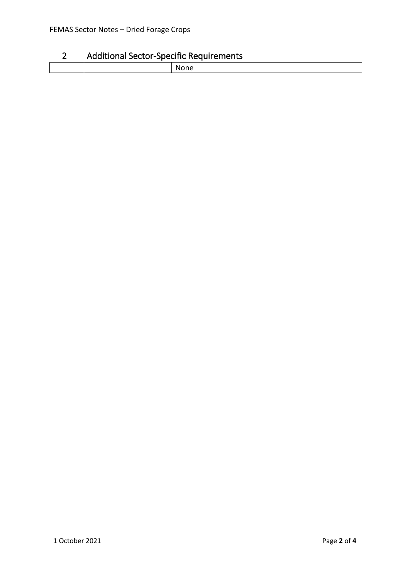### 2 Additional Sector-Specific Requirements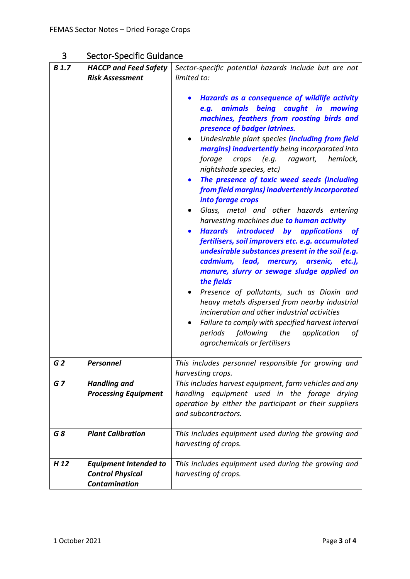# 3 Sector-Specific Guidance

| <b>B</b> 1.7    | <b>HACCP and Feed Safety</b>                                                    | Sector-specific potential hazards include but are not                                                                                                                                                                                                                                                                                                                                                                                                                                                                                                                                                                                                                                                                                                                                                                                                                                                                                                                                                                                                                                                                                                    |
|-----------------|---------------------------------------------------------------------------------|----------------------------------------------------------------------------------------------------------------------------------------------------------------------------------------------------------------------------------------------------------------------------------------------------------------------------------------------------------------------------------------------------------------------------------------------------------------------------------------------------------------------------------------------------------------------------------------------------------------------------------------------------------------------------------------------------------------------------------------------------------------------------------------------------------------------------------------------------------------------------------------------------------------------------------------------------------------------------------------------------------------------------------------------------------------------------------------------------------------------------------------------------------|
|                 | <b>Risk Assessment</b>                                                          | limited to:                                                                                                                                                                                                                                                                                                                                                                                                                                                                                                                                                                                                                                                                                                                                                                                                                                                                                                                                                                                                                                                                                                                                              |
|                 |                                                                                 | Hazards as a consequence of wildlife activity<br>animals being caught in mowing<br>e.q.<br>machines, feathers from roosting birds and<br>presence of badger latrines.<br>Undesirable plant species (including from field<br>margins) inadvertently being incorporated into<br>crops (e.g. ragwort, hemlock,<br>forage<br>nightshade species, etc)<br>The presence of toxic weed seeds (including<br>$\bullet$<br>from field margins) inadvertently incorporated<br>into forage crops<br>Glass, metal and other hazards entering<br>harvesting machines due to human activity<br><b>Hazards</b> introduced by applications<br><b>of</b><br>fertilisers, soil improvers etc. e.g. accumulated<br>undesirable substances present in the soil (e.g.<br>cadmium, lead, mercury, arsenic, etc.),<br>manure, slurry or sewage sludge applied on<br>the fields<br>Presence of pollutants, such as Dioxin and<br>heavy metals dispersed from nearby industrial<br>incineration and other industrial activities<br>Failure to comply with specified harvest interval<br>$\bullet$<br>following the<br>periods<br>application<br>οf<br>agrochemicals or fertilisers |
| G <sub>2</sub>  | <b>Personnel</b>                                                                | This includes personnel responsible for growing and<br>harvesting crops.                                                                                                                                                                                                                                                                                                                                                                                                                                                                                                                                                                                                                                                                                                                                                                                                                                                                                                                                                                                                                                                                                 |
| GZ              | <b>Handling and</b>                                                             | This includes harvest equipment, farm vehicles and any                                                                                                                                                                                                                                                                                                                                                                                                                                                                                                                                                                                                                                                                                                                                                                                                                                                                                                                                                                                                                                                                                                   |
|                 | <b>Processing Equipment</b>                                                     | handling equipment used in the forage drying                                                                                                                                                                                                                                                                                                                                                                                                                                                                                                                                                                                                                                                                                                                                                                                                                                                                                                                                                                                                                                                                                                             |
|                 |                                                                                 | operation by either the participant or their suppliers<br>and subcontractors.                                                                                                                                                                                                                                                                                                                                                                                                                                                                                                                                                                                                                                                                                                                                                                                                                                                                                                                                                                                                                                                                            |
| G8              | <b>Plant Calibration</b>                                                        | This includes equipment used during the growing and<br>harvesting of crops.                                                                                                                                                                                                                                                                                                                                                                                                                                                                                                                                                                                                                                                                                                                                                                                                                                                                                                                                                                                                                                                                              |
| H <sub>12</sub> | <b>Equipment Intended to</b><br><b>Control Physical</b><br><b>Contamination</b> | This includes equipment used during the growing and<br>harvesting of crops.                                                                                                                                                                                                                                                                                                                                                                                                                                                                                                                                                                                                                                                                                                                                                                                                                                                                                                                                                                                                                                                                              |